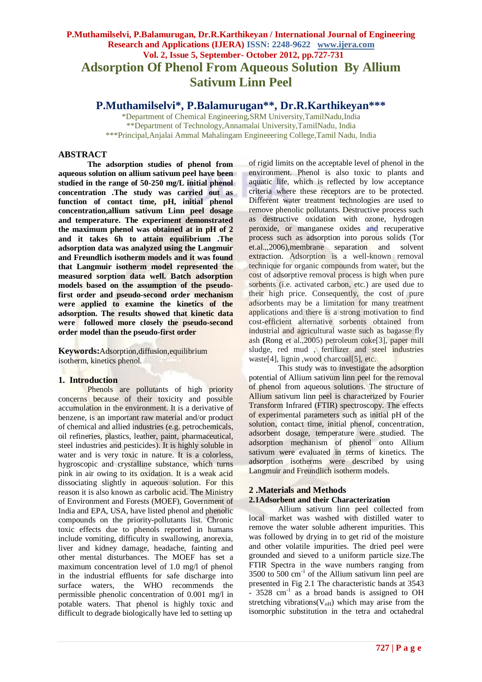# **P.Muthamilselvi, P.Balamurugan, Dr.R.Karthikeyan / International Journal of Engineering Research and Applications (IJERA) ISSN: 2248-9622 www.ijera.com Vol. 2, Issue 5, September- October 2012, pp.727-731 Adsorption Of Phenol From Aqueous Solution By Allium Sativum Linn Peel**

**P.Muthamilselvi\*, P.Balamurugan\*\*, Dr.R.Karthikeyan\*\*\***

\*Department of Chemical Engineering,SRM University,TamilNadu,India \*\*Department of Technology,Annamalai University,TamilNadu, India \*\*\*Principal,Anjalai Ammal Mahalingam Engineeering College,Tamil Nadu, India

## **ABSTRACT**

**The adsorption studies of phenol from aqueous solution on allium sativum peel have been studied in the range of 50-250 mg/L initial phenol concentration .The study was carried out as function of contact time, pH, initial phenol concentration,allium sativum Linn peel dosage and temperature. The experiment demonstrated the maximum phenol was obtained at in pH of 2 and it takes 6h to attain equilibrium .The adsorption data was analyzed using the Langmuir and Freundlich isotherm models and it was found that Langmuir isotherm model represented the measured sorption data well. Batch adsorption models based on the assumption of the pseudofirst order and pseudo-second order mechanism were applied to examine the kinetics of the adsorption. The results showed that kinetic data were followed more closely the pseudo-second order model than the pseudo-first order**

**Keywords:**Adsorption,diffusion,equilibrium isotherm, kinetics phenol.

# **1. Introduction**

Phenols are pollutants of high priority concerns because of their toxicity and possible accumulation in the environment. It is a derivative of benzene, is an important raw material and/or product of chemical and allied industries (e.g. petrochemicals, oil refineries, plastics, leather, paint, pharmaceutical, steel industries and pesticides). It is highly soluble in water and is very toxic in nature. It is a colorless, hygroscopic and crystalline substance, which turns pink in air owing to its oxidation. It is a weak acid dissociating slightly in aqueous solution. For this reason it is also known as carbolic acid. The Ministry of Environment and Forests (MOEF), Government of India and EPA, USA, have listed phenol and phenolic compounds on the priority-pollutants list. Chronic toxic effects due to phenols reported in humans include vomiting, difficulty in swallowing, anorexia, liver and kidney damage, headache, fainting and other mental disturbances. The MOEF has set a maximum concentration level of 1.0 mg/l of phenol in the industrial effluents for safe discharge into surface waters, the WHO recommends the permissible phenolic concentration of 0.001 mg/l in potable waters. That phenol is highly toxic and difficult to degrade biologically have led to setting up

of rigid limits on the acceptable level of phenol in the environment. Phenol is also toxic to plants and aquatic life, which is reflected by low acceptance criteria where these receptors are to be protected. Different water treatment technologies are used to remove phenolic pollutants. Destructive process such as destructive oxidation with ozone, hydrogen peroxide, or manganese oxides and recuperative process such as adsorption into porous solids (Tor et.al.,,2006),membrane separation and solvent extraction. Adsorption is a well-known removal technique for organic compounds from water, but the cost of adsorptive removal process is high when pure sorbents (i.e. activated carbon, etc.) are used due to their high price. Consequently, the cost of pure adsorbents may be a limitation for many treatment applications and there is a strong motivation to find cost-efficient alternative sorbents obtained from industrial and agricultural waste such as bagasse fly ash **(**Rong et al.,2005) petroleum coke[3], paper mill sludge, red mud , fertilizer and steel industries waste<sup>[4]</sup>, lignin ,wood charcoal<sup>[5]</sup>, etc.

This study was to investigate the adsorption potential of Allium sativum linn peel for the removal of phenol from aqueous solutions. The structure of Allium sativum linn peel is characterized by Fourier Transform Infrared (FTIR) spectroscopy. The effects of experimental parameters such as initial pH of the solution, contact time, initial phenol, concentration, adsorbent dosage, temperature were studied. The adsorption mechanism of phenol onto Allium sativum were evaluated in terms of kinetics. The adsorption isotherms were described by using Langmuir and Freundlich isotherm models.

## **2 .Materials and Methods 2.1Adsorbent and their Characterization**

Allium sativum linn peel collected from local market was washed with distilled water to remove the water soluble adherent impurities. This was followed by drying in to get rid of the moisture and other volatile impurities. The dried peel were grounded and sieved to a uniform particle size.The FTIR Spectra in the wave numbers ranging from  $3500$  to  $500 \text{ cm}^{-1}$  of the Allium sativum linn peel are presented in Fig 2.1 The characteristic bands at 3543  $-$  3528 cm<sup>-1</sup> as a broad bands is assigned to OH stretching vibrations( $V_{\text{OH}}$ ) which may arise from the isomorphic substitution in the tetra and octahedral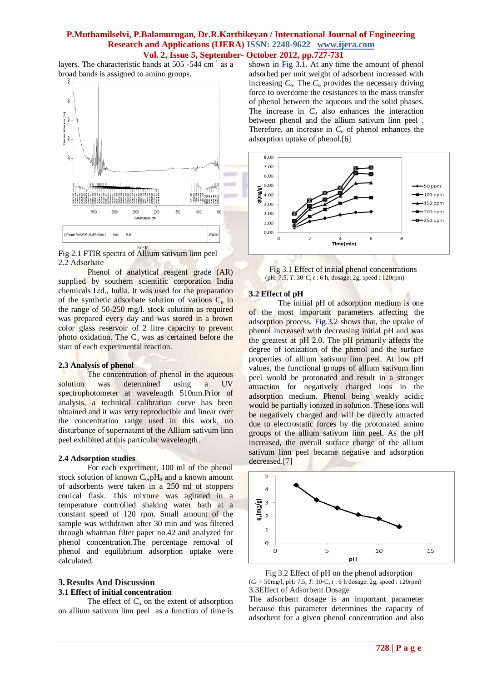layers. The characteristic bands at  $505 - 544$  cm<sup>-1</sup> as a broad bands is assigned to amino groups.



Fig 2.1 FTIR spectra of Allium sativum linn peel 2.2 Adsorbate

Phenol of analytical reagent grade (AR) supplied by southern scientific corporation India chemicals Ltd., India. It was used for the preparation of the synthetic adsorbate solution of various  $C_0$  in the range of 50-250 mg/l. stock solution as required was prepared every day and was stored in a brown color glass reservoir of 2 litre capacity to prevent photo oxidation. The  $C_0$  was as certained before the start of each experimental reaction.

#### **2.3 Analysis of phenol**

The concentration of phenol in the aqueous solution was determined using a UV spectrophotometer at wavelength 510nm.Prior of analysis, a technical calibration curve has been obtained and it was very reproducible and linear over the concentration range used in this work, no disturbance of supernatant of the Allium sativum linn peel exhibited at this particular wavelength.

#### **2.4 Adsorption studies**

For each experiment, 100 ml of the phenol stock solution of known  $C_0$ ,  $pH_0$  and a known amount of adsorbents were taken in a 250 ml of stoppers conical flask. This mixture was agitated in a temperature controlled shaking water bath at a constant speed of 120 rpm. Small amount of the sample was withdrawn after 30 min and was filtered through whatman filter paper no.42 and analyzed for phenol concentration.The percentage removal of phenol and equilibrium adsorption uptake were calculated.

#### **3. Results And Discussion 3.1 Effect of initial concentration**

The effect of  $C_0$  on the extent of adsorption on allium sativum linn peel as a function of time is shown in Fig 3.1. At any time the amount of phenol adsorbed per unit weight of adsorbent increased with increasing  $C_0$ . The  $C_0$  provides the necessary driving force to overcome the resistances to the mass transfer of phenol between the aqueous and the solid phases. The increase in  $C_0$  also enhances the interaction between phenol and the allium sativum linn peel . Therefore, an increase in  $C_0$  of phenol enhances the adsorption uptake of phenol.[6]



 Fig 3.1 Effect of initial phenol concentrations (pH: 7.5, *T*: 30◦C, *t* : 6 h, dosage: 2g, speed : 120rpm)

#### **3.2 Effect of pH**

The initial pH of adsorption medium is one of the most important parameters affecting the adsorption process. Fig.3.2 shows that, the uptake of phenol increased with decreasing initial pH and was the greatest at pH 2.0. The pH primarily affects the degree of ionization of the phenol and the surface properties of allium sativum linn peel. At low pH values, the functional groups of allium sativum linn peel would be protonated and result in a stronger attraction for negatively charged ions in the adsorption medium. Phenol being weakly acidic would be partially ionized in solution. These ions will be negatively charged and will be directly attracted due to electrostatic forces by the protonated amino groups of the allium sativum linn peel. As the pH increased, the overall surface charge of the allium sativum linn peel became negative and adsorption decreased.[7]





The adsorbent dosage is an important parameter because this parameter determines the capacity of adsorbent for a given phenol concentration and also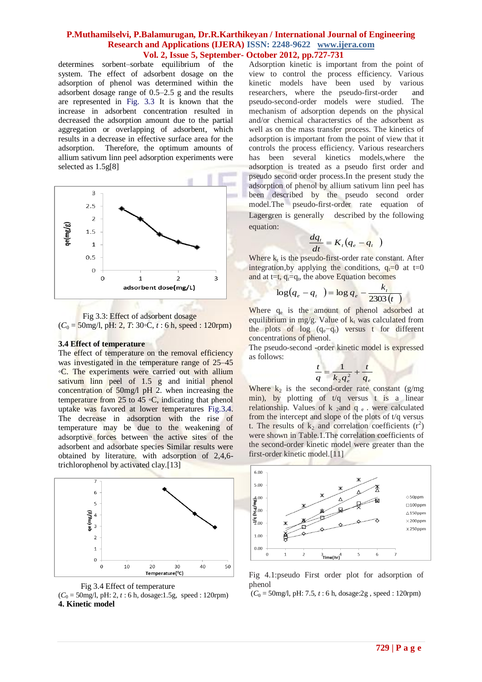determines sorbent–sorbate equilibrium of the system. The effect of adsorbent dosage on the adsorption of phenol was determined within the adsorbent dosage range of 0.5–2.5 g and the results are represented in Fig. 3.3 It is known that the increase in adsorbent concentration resulted in decreased the adsorption amount due to the partial aggregation or overlapping of adsorbent, which results in a decrease in effective surface area for the adsorption. Therefore, the optimum amounts of allium sativum linn peel adsorption experiments were selected as 1.5g[8]



 Fig 3.3: Effect of adsorbent dosage  $(C_0 = 50$ mg/l, pH: 2, *T*: 30◦C, *t* : 6 h, speed : 120rpm)

#### **3.4 Effect of temperature**

The effect of temperature on the removal efficiency was investigated in the temperature range of  $25-45$ ◦C. The experiments were carried out with allium sativum linn peel of 1.5 g and initial phenol concentration of 50mg/l pH 2. when increasing the temperature from 25 to 45  $\circ$ C, indicating that phenol uptake was favored at lower temperatures Fig.3.4. The decrease in adsorption with the rise of temperature may be due to the weakening of adsorptive forces between the active sites of the adsorbent and adsorbate species Similar results were obtained by literature. with adsorption of 2,4,6 trichlorophenol by activated clay.[13]





 $(C_0 = 50$ mg/l, pH: 2, *t* : 6 h, dosage:1.5g, speed : 120rpm) **4. Kinetic model**

Adsorption kinetic is important from the point of view to control the process efficiency. Various kinetic models have been used by various researchers, where the pseudo-first-order and pseudo-second-order models were studied. The mechanism of adsorption depends on the physical and/or chemical characterstics of the adsorbent as well as on the mass transfer process. The kinetics of adsorption is important from the point of view that it controls the process efficiency. Various researchers has been several kinetics models,where the adsorption is treated as a pseudo first order and pseudo second order process.In the present study the adsorption of phenol by allium sativum linn peel has been described by the pseudo second order model.The pseudo-first-order rate equation of Lagergren is generally described by the following equation:

$$
\frac{dq_t}{dt} = K_t (q_e - q_t)
$$

Where  $k_t$  is the pseudo-first-order rate constant. After integration, by applying the conditions,  $q_t=0$  at t=0 and at t=t,  $q_t = q_t$ , the above Equation becomes

$$
\log(q_e - q_t) = \log q_e - \frac{k_t}{2303(t)}
$$

Where q<sub>e</sub> is the amount of phenol adsorbed at equilibrium in mg/g. Value of  $k_t$  was calculated from the plots of  $log (q_e-q_t)$  versus t for different concentrations of phenol.

The pseudo-second -order kinetic model is expressed as follows:

$$
\frac{t}{q} = \frac{1}{k_2 q_e^2} + \frac{t}{q_e}
$$

Where  $k_2$  is the second-order rate constant (g/mg) min), by plotting of t/q versus t is a linear relationship. Values of  $k_2$  and  $q_e$ . were calculated from the intercept and slope of the plots of t/q versus t. The results of  $k_2$  and correlation coefficients  $(r^2)$ were shown in Table.1.The correlation coefficients of the second-order kinetic model were greater than the first-order kinetic model.[11]



Fig 4.1:pseudo First order plot for adsorption of phenol

 $(C_0 = 50$ mg/l, pH: 7.5, *t* : 6 h, dosage:2g, speed : 120rpm)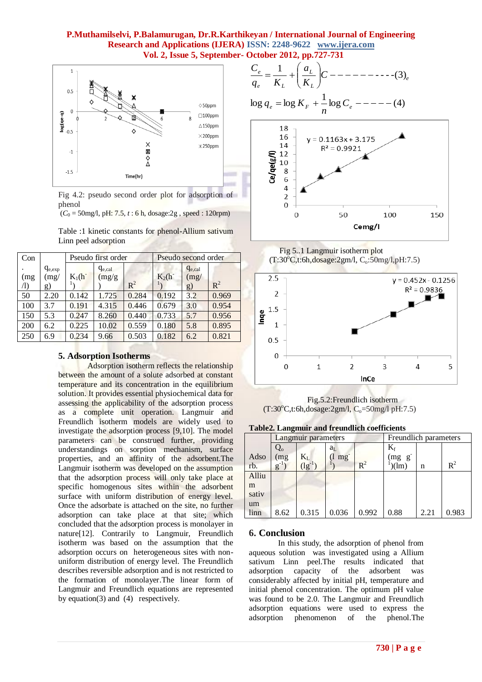

Fig 4.2: pseudo second order plot for adsorption of phenol

 $(C_0 = 50$ mg/l, pH: 7.5,  $t : 6$  h, dosage: 2g, speed: 120rpm)

Table :1 kinetic constants for phenol-Allium sativum Linn peel adsorption

| Con               |                           | Pseudo first order |                       |       | Pseudo second order |                           |       |
|-------------------|---------------------------|--------------------|-----------------------|-------|---------------------|---------------------------|-------|
| (mg<br>$\sqrt{1}$ | $q_{e,exp}$<br>(mg)<br>g) | $K_1(h^-)$         | $q_{e,cal}$<br>(mg/g) | $R^2$ | $K_2(h^-)$          | $q_{e,cal}$<br>(mg)<br>g) | $R^2$ |
| 50                | 2.20                      | 0.142              | 1.725                 | 0.284 | 0.192               | 3.2                       | 0.969 |
| 100               | 3.7                       | 0.191              | 4.315                 | 0.446 | 0.679               | 3.0                       | 0.954 |
| 150               | 5.3                       | 0.247              | 8.260                 | 0.440 | 0.733               | 5.7                       | 0.956 |
| 200               | 6.2                       | 0.225              | 10.02                 | 0.559 | 0.180               | 5.8                       | 0.895 |
| 250               | 6.9                       | 0.234              | 9.66                  | 0.503 | 0.182               | 6.2                       | 0.821 |

# **5. Adsorption Isotherms**

Adsorption isotherm reflects the relationship between the amount of a solute adsorbed at constant temperature and its concentration in the equilibrium solution. It provides essential physiochemical data for assessing the applicability of the adsorption process as a complete unit operation. Langmuir and Freundlich isotherm models are widely used to investigate the adsorption process [9,10]. The model parameters can be construed further, providing understandings on sorption mechanism, surface properties, and an affinity of the adsorbent.The Langmuir isotherm was developed on the assumption that the adsorption process will only take place at specific homogenous sites within the adsorbent surface with uniform distribution of energy level. Once the adsorbate is attached on the site, no further adsorption can take place at that site; which concluded that the adsorption process is monolayer in nature[12]. Contrarily to Langmuir, Freundlich isotherm was based on the assumption that the adsorption occurs on heterogeneous sites with nonuniform distribution of energy level. The Freundlich describes reversible adsorption and is not restricted to the formation of monolayer.The linear form of Langmuir and Freundlich equations are represented by equation(3) and (4) respectively.

$$
\frac{C_e}{q_e} = \frac{1}{K_L} + \left(\frac{a_L}{K_L}\right)C
$$
 --- (3)<sub>e</sub>  
log  $q_e$  = log  $K_F$  +  $\frac{1}{n}$  log  $C_e$  --- (4)



 Fig 5..1 Langmuir isotherm plot  $(T:30^{\circ}C, t:6h, dosage:2gm/l, C_0:50mg/l, pH:7.5)$ 



Fig.5.2:Freundlich isotherm  $(T:30^{\circ}C, t:6h, dosage:2gm/l, C_0=50mg/l pH:7.5)$ 

**Table2. Langmuir and freundlich coefficients**

|       | -        | Langmuir parameters                |                | Freundlich parameters |                |      |       |
|-------|----------|------------------------------------|----------------|-----------------------|----------------|------|-------|
|       | Q。       |                                    | a <sub>L</sub> |                       | $\rm K_f$      |      |       |
| Adso  | (mg)     | $K_L$ <sub>(lg<sup>-1</sup>)</sub> | mg             |                       | $(mg \ g^{-})$ |      |       |
| rb.   | $g^{-1}$ |                                    |                | $R^2$                 | (lm)           | n    | $R^2$ |
| Alliu |          |                                    |                |                       |                |      |       |
| m     |          |                                    |                |                       |                |      |       |
| sativ |          |                                    |                |                       |                |      |       |
| um    |          |                                    |                |                       |                |      |       |
| linn  | 8.62     | 0.315                              | 0.036          | 0.992                 | 0.88           | 2.21 | 0.983 |

# **6. Conclusion**

In this study, the adsorption of phenol from aqueous solution was investigated using a Allium sativum Linn peel.The results indicated that adsorption capacity of the adsorbent was considerably affected by initial pH, temperature and initial phenol concentration. The optimum pH value was found to be 2.0. The Langmuir and Freundlich adsorption equations were used to express the adsorption phenomenon of the phenol.The